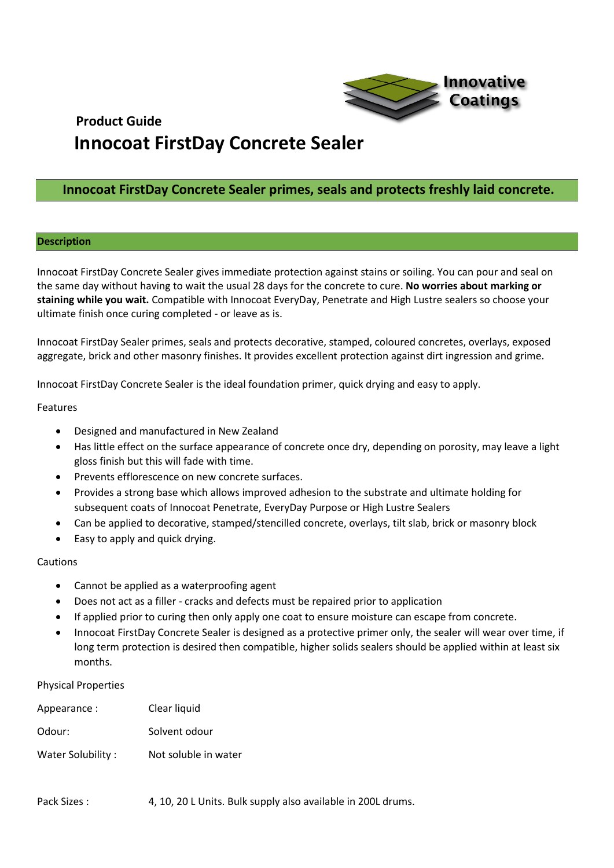

### **Innocoat FirstDay Concrete Sealer primes, seals and protects freshly laid concrete.**

#### **Description**

Innocoat FirstDay Concrete Sealer gives immediate protection against stains or soiling. You can pour and seal on the same day without having to wait the usual 28 days for the concrete to cure. **No worries about marking or staining while you wait.** Compatible with Innocoat EveryDay, Penetrate and High Lustre sealers so choose your ultimate finish once curing completed - or leave as is.

Innocoat FirstDay Sealer primes, seals and protects decorative, stamped, coloured concretes, overlays, exposed aggregate, brick and other masonry finishes. It provides excellent protection against dirt ingression and grime.

Innocoat FirstDay Concrete Sealer is the ideal foundation primer, quick drying and easy to apply.

#### Features

- Designed and manufactured in New Zealand
- Has little effect on the surface appearance of concrete once dry, depending on porosity, may leave a light gloss finish but this will fade with time.
- Prevents efflorescence on new concrete surfaces.
- Provides a strong base which allows improved adhesion to the substrate and ultimate holding for subsequent coats of Innocoat Penetrate, EveryDay Purpose or High Lustre Sealers
- Can be applied to decorative, stamped/stencilled concrete, overlays, tilt slab, brick or masonry block
- Easy to apply and quick drying.

#### Cautions

- Cannot be applied as a waterproofing agent
- Does not act as a filler cracks and defects must be repaired prior to application
- If applied prior to curing then only apply one coat to ensure moisture can escape from concrete.
- Innocoat FirstDay Concrete Sealer is designed as a protective primer only, the sealer will wear over time, if long term protection is desired then compatible, higher solids sealers should be applied within at least six months.

#### Physical Properties

| Appearance:       | Clear liquid         |
|-------------------|----------------------|
| Odour:            | Solvent odour        |
| Water Solubility: | Not soluble in water |

Pack Sizes : 4, 10, 20 L Units. Bulk supply also available in 200L drums.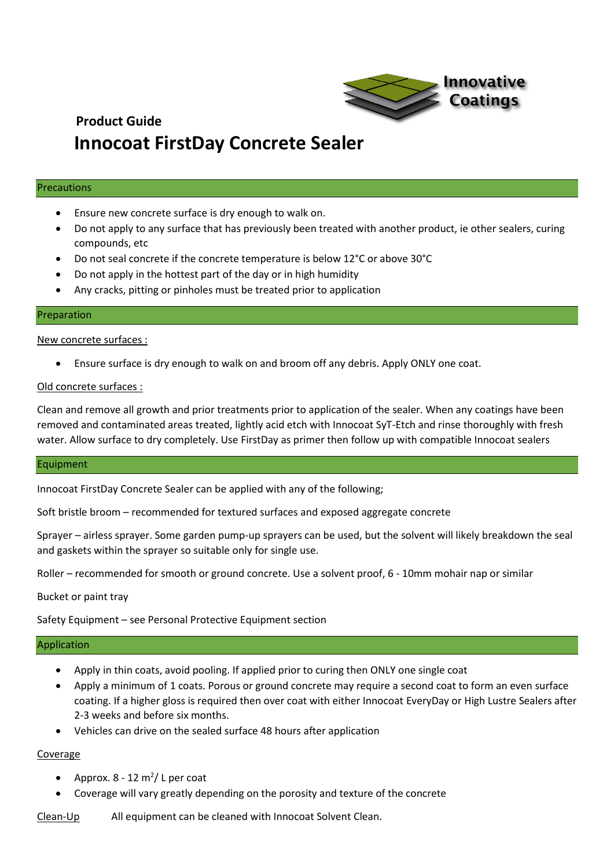

#### Precautions

- Ensure new concrete surface is dry enough to walk on.
- Do not apply to any surface that has previously been treated with another product, ie other sealers, curing compounds, etc
- Do not seal concrete if the concrete temperature is below 12°C or above 30°C
- Do not apply in the hottest part of the day or in high humidity
- Any cracks, pitting or pinholes must be treated prior to application

#### Preparation

New concrete surfaces :

• Ensure surface is dry enough to walk on and broom off any debris. Apply ONLY one coat.

#### Old concrete surfaces :

Clean and remove all growth and prior treatments prior to application of the sealer. When any coatings have been removed and contaminated areas treated, lightly acid etch with Innocoat SyT-Etch and rinse thoroughly with fresh water. Allow surface to dry completely. Use FirstDay as primer then follow up with compatible Innocoat sealers

#### Equipment

Innocoat FirstDay Concrete Sealer can be applied with any of the following;

Soft bristle broom – recommended for textured surfaces and exposed aggregate concrete

Sprayer – airless sprayer. Some garden pump-up sprayers can be used, but the solvent will likely breakdown the seal and gaskets within the sprayer so suitable only for single use.

Roller – recommended for smooth or ground concrete. Use a solvent proof, 6 - 10mm mohair nap or similar

Bucket or paint tray

Safety Equipment – see Personal Protective Equipment section

#### Application

- Apply in thin coats, avoid pooling. If applied prior to curing then ONLY one single coat
- Apply a minimum of 1 coats. Porous or ground concrete may require a second coat to form an even surface coating. If a higher gloss is required then over coat with either Innocoat EveryDay or High Lustre Sealers after 2-3 weeks and before six months.
- Vehicles can drive on the sealed surface 48 hours after application

### Coverage

- Approx.  $8 12$  m<sup>2</sup>/ L per coat
- Coverage will vary greatly depending on the porosity and texture of the concrete

Clean-Up All equipment can be cleaned with Innocoat Solvent Clean.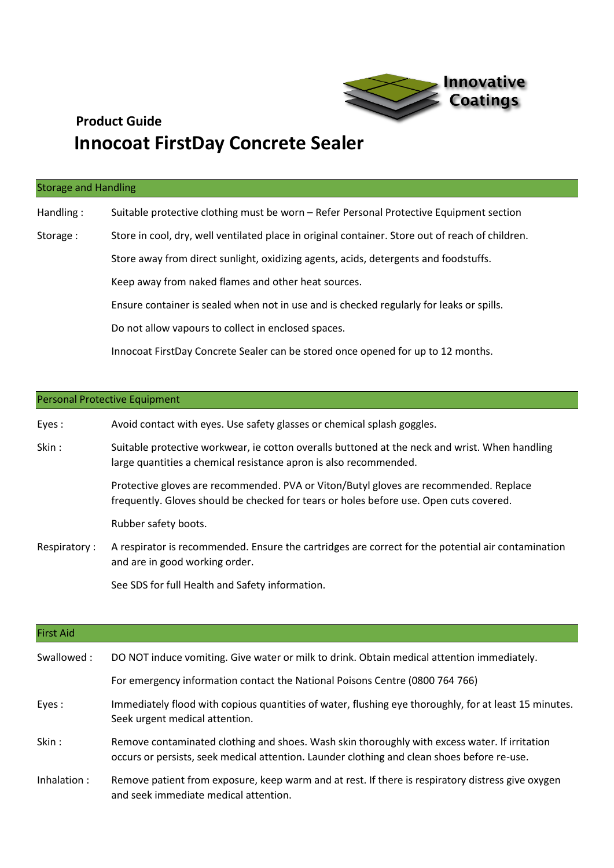

#### Storage and Handling

Handling : Suitable protective clothing must be worn – Refer Personal Protective Equipment section

- Storage : Store in cool, dry, well ventilated place in original container. Store out of reach of children.
	- Store away from direct sunlight, oxidizing agents, acids, detergents and foodstuffs.

Keep away from naked flames and other heat sources.

Ensure container is sealed when not in use and is checked regularly for leaks or spills.

Do not allow vapours to collect in enclosed spaces.

Innocoat FirstDay Concrete Sealer can be stored once opened for up to 12 months.

#### Personal Protective Equipment

| Eyes: | Avoid contact with eyes. Use safety glasses or chemical splash goggles. |
|-------|-------------------------------------------------------------------------|
|-------|-------------------------------------------------------------------------|

Skin : Suitable protective workwear, ie cotton overalls buttoned at the neck and wrist. When handling large quantities a chemical resistance apron is also recommended.

> Protective gloves are recommended. PVA or Viton/Butyl gloves are recommended. Replace frequently. Gloves should be checked for tears or holes before use. Open cuts covered.

Rubber safety boots.

Respiratory : A respirator is recommended. Ensure the cartridges are correct for the potential air contamination and are in good working order.

See SDS for full Health and Safety information.

| <b>First Aid</b> |                                                                                                                                                                                              |
|------------------|----------------------------------------------------------------------------------------------------------------------------------------------------------------------------------------------|
| Swallowed:       | DO NOT induce vomiting. Give water or milk to drink. Obtain medical attention immediately.                                                                                                   |
|                  | For emergency information contact the National Poisons Centre (0800 764 766)                                                                                                                 |
| Eyes:            | Immediately flood with copious quantities of water, flushing eye thoroughly, for at least 15 minutes.<br>Seek urgent medical attention.                                                      |
| Skin:            | Remove contaminated clothing and shoes. Wash skin thoroughly with excess water. If irritation<br>occurs or persists, seek medical attention. Launder clothing and clean shoes before re-use. |
| Inhalation :     | Remove patient from exposure, keep warm and at rest. If there is respiratory distress give oxygen<br>and seek immediate medical attention.                                                   |